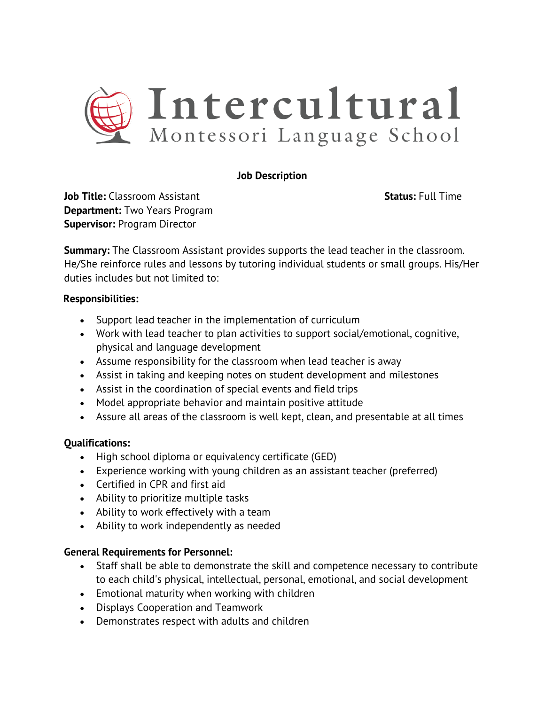

## **Job Description**

**Job Title:** Classroom Assistant **Status: Full Time Department:** Two Years Program **Supervisor:** Program Director

**Summary:** The Classroom Assistant provides supports the lead teacher in the classroom. He/She reinforce rules and lessons by tutoring individual students or small groups. His/Her duties includes but not limited to:

## **Responsibilities:**

- Support lead teacher in the implementation of curriculum
- Work with lead teacher to plan activities to support social/emotional, cognitive, physical and language development
- Assume responsibility for the classroom when lead teacher is away
- Assist in taking and keeping notes on student development and milestones
- Assist in the coordination of special events and field trips
- Model appropriate behavior and maintain positive attitude
- Assure all areas of the classroom is well kept, clean, and presentable at all times

## **Qualifications:**

- High school diploma or equivalency certificate (GED)
- Experience working with young children as an assistant teacher (preferred)
- Certified in CPR and first aid
- Ability to prioritize multiple tasks
- Ability to work effectively with a team
- Ability to work independently as needed

## **General Requirements for Personnel:**

- Staff shall be able to demonstrate the skill and competence necessary to contribute to each child's physical, intellectual, personal, emotional, and social development
- Emotional maturity when working with children
- Displays Cooperation and Teamwork
- Demonstrates respect with adults and children